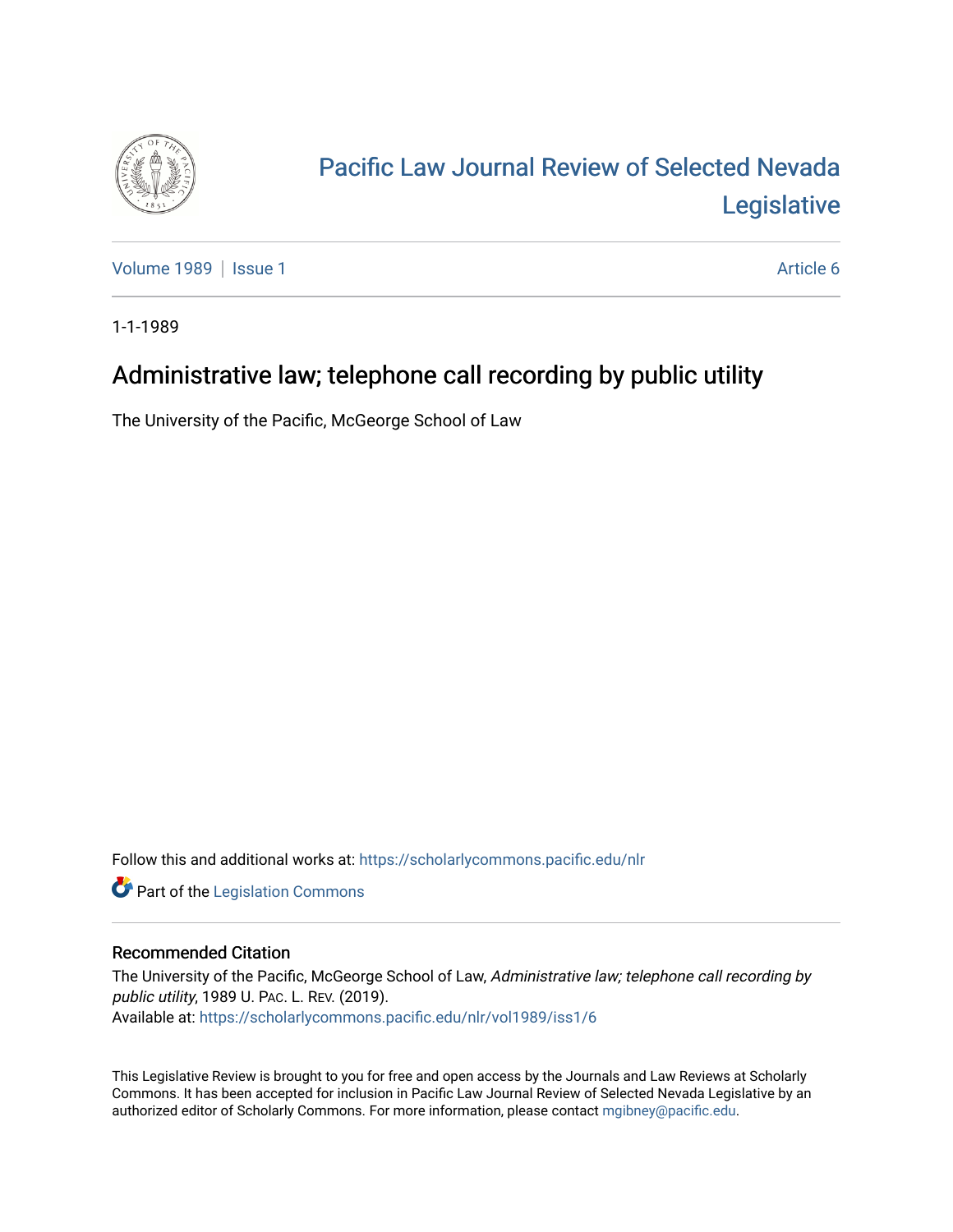

# [Pacific Law Journal Review of Selected Nevada](https://scholarlycommons.pacific.edu/nlr)  [Legislative](https://scholarlycommons.pacific.edu/nlr)

[Volume 1989](https://scholarlycommons.pacific.edu/nlr/vol1989) | [Issue 1](https://scholarlycommons.pacific.edu/nlr/vol1989/iss1) Article 6

1-1-1989

## Administrative law; telephone call recording by public utility

The University of the Pacific, McGeorge School of Law

Follow this and additional works at: [https://scholarlycommons.pacific.edu/nlr](https://scholarlycommons.pacific.edu/nlr?utm_source=scholarlycommons.pacific.edu%2Fnlr%2Fvol1989%2Fiss1%2F6&utm_medium=PDF&utm_campaign=PDFCoverPages) 

**Part of the [Legislation Commons](http://network.bepress.com/hgg/discipline/859?utm_source=scholarlycommons.pacific.edu%2Fnlr%2Fvol1989%2Fiss1%2F6&utm_medium=PDF&utm_campaign=PDFCoverPages)** 

### Recommended Citation

The University of the Pacific, McGeorge School of Law, Administrative law; telephone call recording by public utility, 1989 U. PAC. L. REV. (2019). Available at: [https://scholarlycommons.pacific.edu/nlr/vol1989/iss1/6](https://scholarlycommons.pacific.edu/nlr/vol1989/iss1/6?utm_source=scholarlycommons.pacific.edu%2Fnlr%2Fvol1989%2Fiss1%2F6&utm_medium=PDF&utm_campaign=PDFCoverPages) 

This Legislative Review is brought to you for free and open access by the Journals and Law Reviews at Scholarly Commons. It has been accepted for inclusion in Pacific Law Journal Review of Selected Nevada Legislative by an authorized editor of Scholarly Commons. For more information, please contact [mgibney@pacific.edu](mailto:mgibney@pacific.edu).